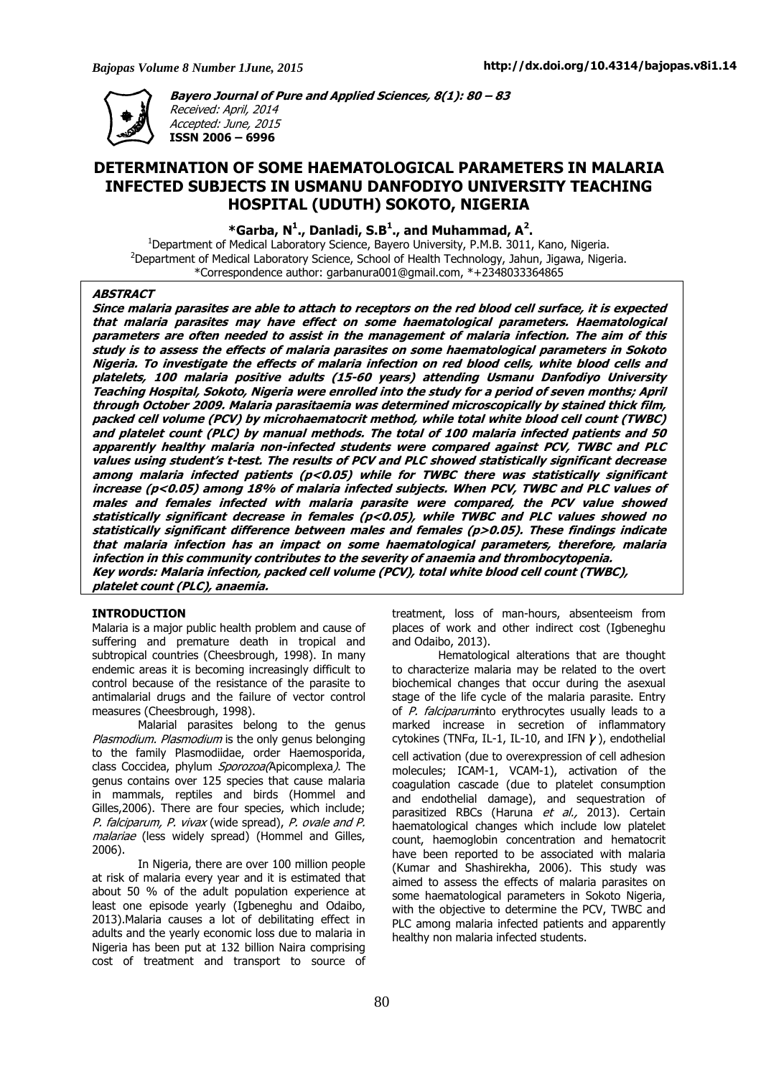

**Bayero Journal of Pure and Applied Sciences, 8(1): 80 – 83**  Received: April, 2014 Accepted: June, 2015 **ISSN 2006 – 6996** 

# **DETERMINATION OF SOME HAEMATOLOGICAL PARAMETERS IN MALARIA INFECTED SUBJECTS IN USMANU DANFODIYO UNIVERSITY TEACHING HOSPITAL (UDUTH) SOKOTO, NIGERIA**

 **\*Garba, N<sup>1</sup> ., Danladi, S.B<sup>1</sup> ., and Muhammad, A<sup>2</sup> .** 

 $1$ Department of Medical Laboratory Science, Bayero University, P.M.B. 3011, Kano, Nigeria. <sup>2</sup>Department of Medical Laboratory Science, School of Health Technology, Jahun, Jigawa, Nigeria. \*Correspondence author: garbanura001@gmail.com, \*+2348033364865

# **ABSTRACT**

**Since malaria parasites are able to attach to receptors on the red blood cell surface, it is expected that malaria parasites may have effect on some haematological parameters. Haematological parameters are often needed to assist in the management of malaria infection. The aim of this study is to assess the effects of malaria parasites on some haematological parameters in Sokoto Nigeria. To investigate the effects of malaria infection on red blood cells, white blood cells and platelets, 100 malaria positive adults (15-60 years) attending Usmanu Danfodiyo University Teaching Hospital, Sokoto, Nigeria were enrolled into the study for a period of seven months; April through October 2009. Malaria parasitaemia was determined microscopically by stained thick film, packed cell volume (PCV) by microhaematocrit method, while total white blood cell count (TWBC) and platelet count (PLC) by manual methods. The total of 100 malaria infected patients and 50 apparently healthy malaria non-infected students were compared against PCV, TWBC and PLC values using student's t-test. The results of PCV and PLC showed statistically significant decrease among malaria infected patients (p<0.05) while for TWBC there was statistically significant increase (p<0.05) among 18% of malaria infected subjects. When PCV, TWBC and PLC values of males and females infected with malaria parasite were compared, the PCV value showed statistically significant decrease in females (p<0.05), while TWBC and PLC values showed no statistically significant difference between males and females (p>0.05). These findings indicate that malaria infection has an impact on some haematological parameters, therefore, malaria infection in this community contributes to the severity of anaemia and thrombocytopenia. Key words: Malaria infection, packed cell volume (PCV), total white blood cell count (TWBC), platelet count (PLC), anaemia.** 

#### **INTRODUCTION**

Malaria is a major public health problem and cause of suffering and premature death in tropical and subtropical countries (Cheesbrough, 1998). In many endemic areas it is becoming increasingly difficult to control because of the resistance of the parasite to antimalarial drugs and the failure of vector control measures (Cheesbrough, 1998).

Malarial parasites belong to the genus Plasmodium. Plasmodium is the only genus belonging to the family Plasmodiidae, order Haemosporida, class Coccidea, phylum Sporozoa(Apicomplexa). The genus contains over 125 species that cause malaria in mammals, reptiles and birds (Hommel and Gilles,2006). There are four species, which include; P. falciparum, P. vivax (wide spread), P. ovale and P. malariae (less widely spread) (Hommel and Gilles, 2006).

In Nigeria, there are over 100 million people at risk of malaria every year and it is estimated that about 50 % of the adult population experience at least one episode yearly (Igbeneghu and Odaibo, 2013).Malaria causes a lot of debilitating effect in adults and the yearly economic loss due to malaria in Nigeria has been put at 132 billion Naira comprising cost of treatment and transport to source of

treatment, loss of man-hours, absenteeism from places of work and other indirect cost (Igbeneghu and Odaibo, 2013).

Hematological alterations that are thought to characterize malaria may be related to the overt biochemical changes that occur during the asexual stage of the life cycle of the malaria parasite. Entry of P. falciparuminto erythrocytes usually leads to a marked increase in secretion of inflammatory cytokines (TNF $\alpha$ , IL-1, IL-10, and IFN  $\gamma$ ), endothelial cell activation (due to overexpression of cell adhesion molecules; ICAM-1, VCAM-1), activation of the coagulation cascade (due to platelet consumption and endothelial damage), and sequestration of parasitized RBCs (Haruna et al., 2013). Certain haematological changes which include low platelet count, haemoglobin concentration and hematocrit have been reported to be associated with malaria (Kumar and Shashirekha, 2006). This study was aimed to assess the effects of malaria parasites on some haematological parameters in Sokoto Nigeria, with the objective to determine the PCV, TWBC and PLC among malaria infected patients and apparently healthy non malaria infected students.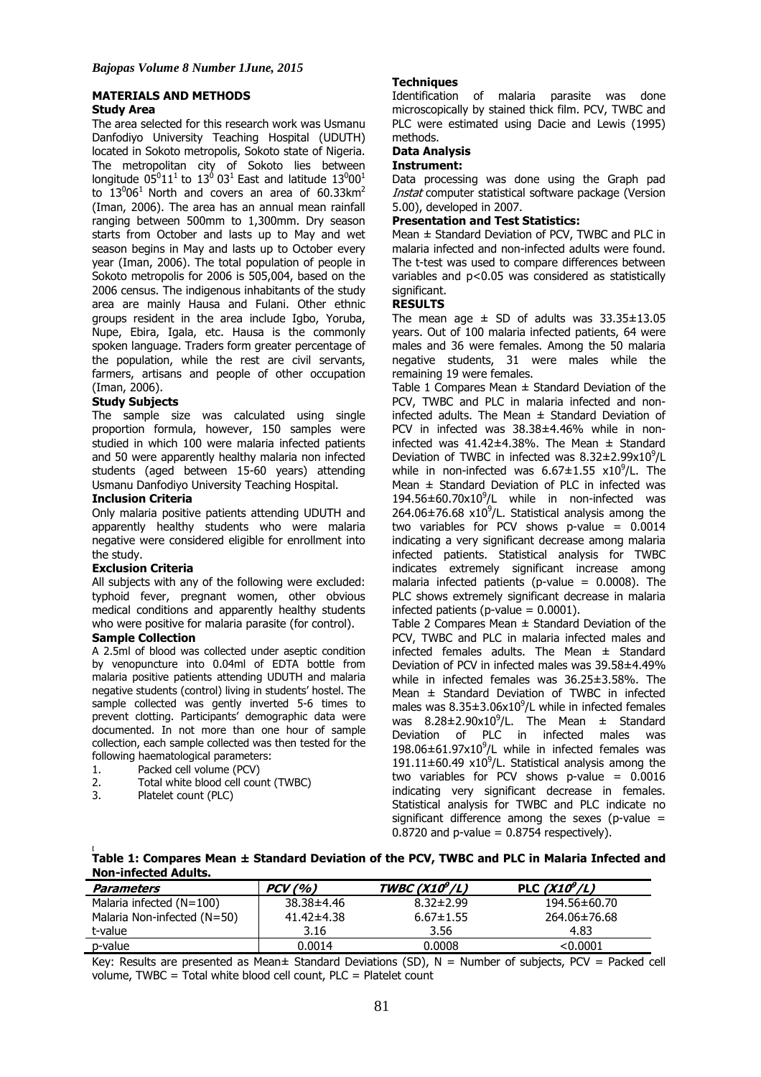# **MATERIALS AND METHODS Study Area**

The area selected for this research work was Usmanu Danfodiyo University Teaching Hospital (UDUTH) located in Sokoto metropolis, Sokoto state of Nigeria. The metropolitan city of Sokoto lies between longitude 05 $^011^1$  to 13 $^0$  03<sup>1</sup> East and latitude 13 $^000^1$ to  $13^0$ 06<sup>1</sup> North and covers an area of 60.33km<sup>2</sup> (Iman, 2006). The area has an annual mean rainfall ranging between 500mm to 1,300mm. Dry season starts from October and lasts up to May and wet season begins in May and lasts up to October every year (Iman, 2006). The total population of people in Sokoto metropolis for 2006 is 505,004, based on the 2006 census. The indigenous inhabitants of the study area are mainly Hausa and Fulani. Other ethnic groups resident in the area include Igbo, Yoruba, Nupe, Ebira, Igala, etc. Hausa is the commonly spoken language. Traders form greater percentage of the population, while the rest are civil servants, farmers, artisans and people of other occupation (Iman, 2006).

# **Study Subjects**

The sample size was calculated using single proportion formula, however, 150 samples were studied in which 100 were malaria infected patients and 50 were apparently healthy malaria non infected students (aged between 15-60 years) attending Usmanu Danfodiyo University Teaching Hospital.

# **Inclusion Criteria**

Only malaria positive patients attending UDUTH and apparently healthy students who were malaria negative were considered eligible for enrollment into the study.

# **Exclusion Criteria**

All subjects with any of the following were excluded: typhoid fever, pregnant women, other obvious medical conditions and apparently healthy students who were positive for malaria parasite (for control).

# **Sample Collection**

A 2.5ml of blood was collected under aseptic condition by venopuncture into 0.04ml of EDTA bottle from malaria positive patients attending UDUTH and malaria negative students (control) living in students' hostel. The sample collected was gently inverted 5-6 times to prevent clotting. Participants' demographic data were documented. In not more than one hour of sample collection, each sample collected was then tested for the following haematological parameters:

- 1. Packed cell volume (PCV)
- 2. Total white blood cell count (TWBC)<br>3. Platelet count (PLC)
- Platelet count (PLC)

**[** 

# **Techniques**

Identification of malaria parasite was done microscopically by stained thick film. PCV, TWBC and PLC were estimated using Dacie and Lewis (1995) methods.

# **Data Analysis**

# **Instrument:**

Data processing was done using the Graph pad Instat computer statistical software package (Version 5.00), developed in 2007.

# **Presentation and Test Statistics:**

Mean ± Standard Deviation of PCV, TWBC and PLC in malaria infected and non-infected adults were found. The t-test was used to compare differences between variables and p<0.05 was considered as statistically significant.

### **RESULTS**

The mean age  $\pm$  SD of adults was 33.35 $\pm$ 13.05 years. Out of 100 malaria infected patients, 64 were males and 36 were females. Among the 50 malaria negative students, 31 were males while the remaining 19 were females.

Table 1 Compares Mean  $\pm$  Standard Deviation of the PCV, TWBC and PLC in malaria infected and noninfected adults. The Mean  $\pm$  Standard Deviation of PCV in infected was 38.38±4.46% while in noninfected was  $41.42\pm4.38\%$ . The Mean  $\pm$  Standard Deviation of TWBC in infected was  $8.32\pm2.99x10^9$ /L while in non-infected was  $6.67 \pm 1.55$  x10<sup>9</sup>/L. The Mean ± Standard Deviation of PLC in infected was  $194.56 \pm 60.70 \times 10^9$ /L while in non-infected was  $264.06\pm76.68$  x10<sup>9</sup>/L. Statistical analysis among the two variables for PCV shows p-value  $= 0.0014$ indicating a very significant decrease among malaria infected patients. Statistical analysis for TWBC indicates extremely significant increase among malaria infected patients (p-value =  $0.0008$ ). The PLC shows extremely significant decrease in malaria infected patients (p-value  $= 0.0001$ ).

Table 2 Compares Mean  $\pm$  Standard Deviation of the PCV, TWBC and PLC in malaria infected males and infected females adults. The Mean  $\pm$  Standard Deviation of PCV in infected males was 39.58±4.49% while in infected females was 36.25±3.58%. The Mean ± Standard Deviation of TWBC in infected males was  $8.35\pm3.06\times10^9$ /L while in infected females was  $8.28 \pm 2.90 \times 10^9$ /L. The Mean  $\pm$  Standard Deviation of PLC in infected males was  $198.06 \pm 61.97 \times 10^9$ /L while in infected females was 191.11 $\pm$ 60.49 x10<sup>9</sup>/L. Statistical analysis among the two variables for PCV shows p-value =  $0.0016$ indicating very significant decrease in females. Statistical analysis for TWBC and PLC indicate no significant difference among the sexes (p-value  $=$  $0.8720$  and p-value =  $0.8754$  respectively).

**Table 1: Compares Mean ± Standard Deviation of the PCV, TWBC and PLC in Malaria Infected and Non-infected Adults.** 

| Parameters                  | PCV(%)           | TWBC( $X10^9/L$ ) | PLC $(X10^9/L)$ |
|-----------------------------|------------------|-------------------|-----------------|
| Malaria infected $(N=100)$  | 38.38±4.46       | $8.32 \pm 2.99$   | 194.56±60.70    |
| Malaria Non-infected (N=50) | $41.42 \pm 4.38$ | $6.67 \pm 1.55$   | 264.06±76.68    |
| t-value                     | 3.16             | 3.56              | 4.83            |
| p-value                     | 0.0014           | 0.0008            | < 0.0001        |

Key: Results are presented as Mean $\pm$  Standard Deviations (SD), N = Number of subjects, PCV = Packed cell volume, TWBC = Total white blood cell count, PLC = Platelet count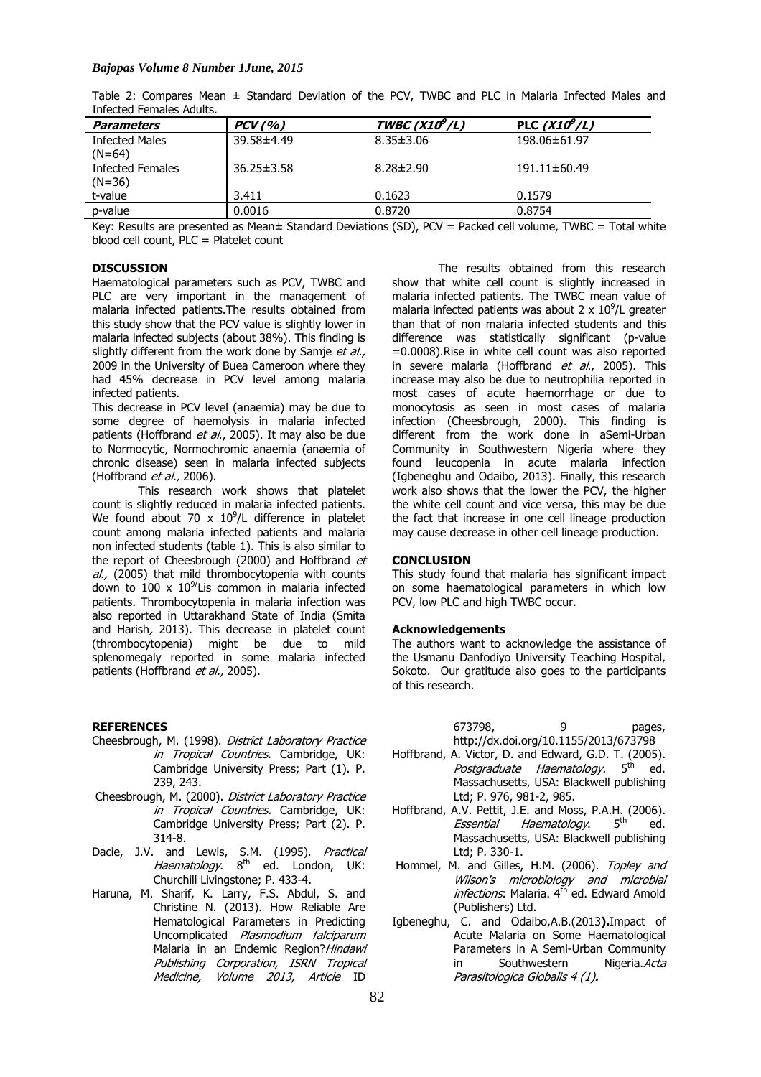Table 2: Compares Mean ± Standard Deviation of the PCV, TWBC and PLC in Malaria Infected Males and Infected Females Adults.

| <b>Parameters</b>     | $PCV($ % $)$     | TWBC ( $X10^9/L$ ) | PLC $(X10^9/L)$ |
|-----------------------|------------------|--------------------|-----------------|
| <b>Infected Males</b> | 39.58±4.49       | $8.35 \pm 3.06$    | 198.06±61.97    |
| $(N=64)$              |                  |                    |                 |
| Infected Females      | $36.25 \pm 3.58$ | $8.28 \pm 2.90$    | 191.11±60.49    |
| $(N=36)$              |                  |                    |                 |
| t-value               | 3.411            | 0.1623             | 0.1579          |
| p-value               | 0.0016           | 0.8720             | 0.8754          |

Key: Results are presented as Mean± Standard Deviations (SD), PCV = Packed cell volume, TWBC = Total white blood cell count, PLC = Platelet count

### **DISCUSSION**

Haematological parameters such as PCV, TWBC and PLC are very important in the management of malaria infected patients.The results obtained from this study show that the PCV value is slightly lower in malaria infected subjects (about 38%). This finding is slightly different from the work done by Samje et al., 2009 in the University of Buea Cameroon where they had 45% decrease in PCV level among malaria infected patients.

This decrease in PCV level (anaemia) may be due to some degree of haemolysis in malaria infected patients (Hoffbrand et al., 2005). It may also be due to Normocytic, Normochromic anaemia (anaemia of chronic disease) seen in malaria infected subjects (Hoffbrand *et al.*, 2006).

This research work shows that platelet count is slightly reduced in malaria infected patients. We found about 70 x  $10^9$ /L difference in platelet count among malaria infected patients and malaria non infected students (table 1). This is also similar to the report of Cheesbrough (2000) and Hoffbrand et al., (2005) that mild thrombocytopenia with counts down to 100 x  $10^{9}/$ Lis common in malaria infected patients. Thrombocytopenia in malaria infection was also reported in Uttarakhand State of India (Smita and Harish, 2013). This decrease in platelet count (thrombocytopenia) might be due to mild splenomegaly reported in some malaria infected patients (Hoffbrand et al., 2005).

#### **REFERENCES**

- Cheesbrough, M. (1998). District Laboratory Practice in Tropical Countries. Cambridge, UK: Cambridge University Press; Part (1). P. 239, 243.
- Cheesbrough, M. (2000). District Laboratory Practice in Tropical Countries. Cambridge, UK: Cambridge University Press; Part (2). P. 314-8.
- Dacie, J.V. and Lewis, S.M. (1995). Practical Haematology. 8<sup>th</sup> ed. London, UK: Churchill Livingstone; P. 433-4.
- Haruna, M. Sharif, K. Larry, F.S. Abdul, S. and Christine N. (2013). How Reliable Are Hematological Parameters in Predicting Uncomplicated Plasmodium falciparum Malaria in an Endemic Region? Hindawi Publishing Corporation, ISRN Tropical Medicine, Volume 2013, Article ID

The results obtained from this research show that white cell count is slightly increased in malaria infected patients. The TWBC mean value of malaria infected patients was about 2 x  $10^9$ /L greater than that of non malaria infected students and this difference was statistically significant (p-value =0.0008).Rise in white cell count was also reported in severe malaria (Hoffbrand et al., 2005). This increase may also be due to neutrophilia reported in most cases of acute haemorrhage or due to monocytosis as seen in most cases of malaria infection (Cheesbrough, 2000). This finding is different from the work done in aSemi-Urban Community in Southwestern Nigeria where they found leucopenia in acute malaria infection (Igbeneghu and Odaibo, 2013). Finally, this research work also shows that the lower the PCV, the higher the white cell count and vice versa, this may be due the fact that increase in one cell lineage production may cause decrease in other cell lineage production.

#### **CONCLUSION**

This study found that malaria has significant impact on some haematological parameters in which low PCV, low PLC and high TWBC occur.

#### **Acknowledgements**

The authors want to acknowledge the assistance of the Usmanu Danfodiyo University Teaching Hospital, Sokoto. Our gratitude also goes to the participants of this research.

> 673798, 9 pages, http://dx.doi.org/10.1155/2013/673798

- Hoffbrand, A. Victor, D. and Edward, G.D. T. (2005). Postgraduate Haematology. 5<sup>th</sup> ed. Massachusetts, USA: Blackwell publishing Ltd; P. 976, 981-2, 985.
- Hoffbrand, A.V. Pettit, J.E. and Moss, P.A.H. (2006).<br>Figure 11 Haematology 5th ed Essential Haematology. 5<sup>th</sup> ed. Massachusetts, USA: Blackwell publishing Ltd; P. 330-1.
- Hommel, M. and Gilles, H.M. (2006). Topley and Wilson's microbiology and microbial *infections*: Malaria. 4<sup>th</sup> ed. Edward Amold (Publishers) Ltd.
- Igbeneghu, C. and Odaibo,A.B.(2013**).**Impact of Acute Malaria on Some Haematological Parameters in A Semi-Urban Community in Southwestern Nigeria. Acta Parasitologica Globalis 4 (1)**.**